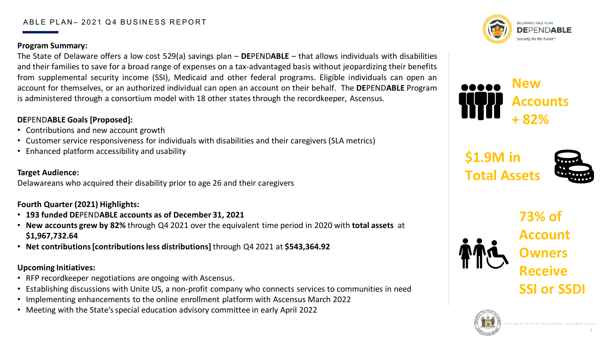### ABLE PLAN- 2021 Q4 BUSINESS REPORT

### **Program Summary:**

The State of Delaware offers a low cost 529(a) savings plan – **DE**PEND**ABLE** – that allows individuals with disabilities and their families to save for a broad range of expenses on a tax-advantaged basis without jeopardizing their benefits from supplemental security income (SSI), Medicaid and other federal programs. Eligible individuals can open an account for themselves, or an authorized individual can open an account on their behalf. The **DE**PEND**ABLE** Program is administered through a consortium model with 18 other states through the recordkeeper, Ascensus.

# **DE**PEND**ABLE Goals [Proposed]:**

- Contributions and new account growth
- Customer service responsiveness for individuals with disabilities and their caregivers (SLA metrics)
- Enhanced platform accessibility and usability

### **Target Audience:**

Delawareans who acquired their disability prior to age 26 and their caregivers

## **Fourth Quarter (2021) Highlights:**

- **193 funded DE**PEND**ABLE accounts as of December 31, 2021**
- **New accounts grew by 82%** through Q4 2021 over the equivalent time period in 2020 with **total assets** at **\$1,967,732.64**
- **Net contributions [contributions less distributions]** through Q4 2021 at **\$543,364.92**

### **Upcoming Initiatives:**

- RFP recordkeeper negotiations are ongoing with Ascensus.
- Establishing discussions with Unite US, a non-profit company who connects services to communities in need
- Implementing enhancements to the online enrollment platform with Ascensus March 2022
- Meeting with the State's special education advisory committee in early April 2022



**New Accounts + 82%**

> **73% of Account Owners Receive SSI or SSDI**





**\$1.9M in Total Assets**

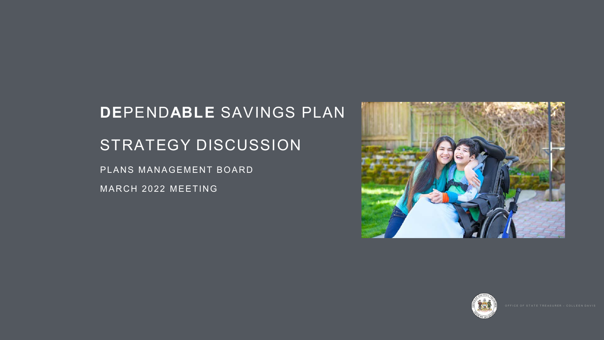# **DE**PEND**ABLE** SAVINGS PLAN STRATEGY DISCUSSION

PLANS MANAGEMENT BOARD

MARCH 2022 MEETING



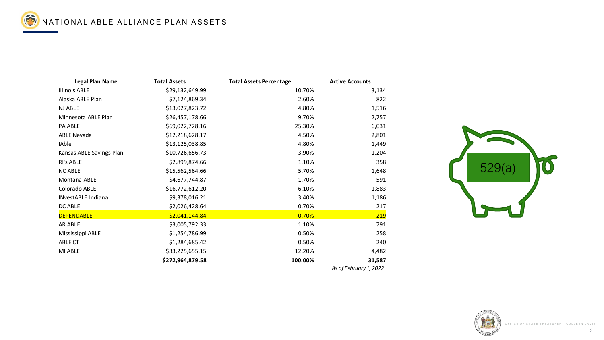





| ntage        | <b>Active Accounts</b> |  |
|--------------|------------------------|--|
| 10.70%       | 3,134                  |  |
| 2.60%        | 822                    |  |
| 4.80%        | 1,516                  |  |
| 9.70%        | 2,757                  |  |
| 25.30%       | 6,031                  |  |
| 4.50%        | 2,801                  |  |
| 4.80%        | 1,449                  |  |
| 3.90%        | 1,204                  |  |
| 1.10%        | 358                    |  |
| 5.70%        | 1,648                  |  |
| 1.70%        | 591                    |  |
| 6.10%        | 1,883                  |  |
| 3.40%        | 1,186                  |  |
| 0.70%        | 217                    |  |
| <u>0.70%</u> | <u> 219</u>            |  |
| 1.10%        | 791                    |  |
| 0.50%        | 258                    |  |
| 0.50%        | 240                    |  |
| 12.20%       | 4,482                  |  |
| 100.00%      | 31,587                 |  |
|              | As of February 1, 2022 |  |

NATIONAL ABLE ALLIANCE PLAN ASSETS

| <b>Legal Plan Name</b>    | <b>Total Assets</b> | <b>Total Assets Percentage</b> | <b>Active Accounts</b> |
|---------------------------|---------------------|--------------------------------|------------------------|
| <b>Illinois ABLE</b>      | \$29,132,649.99     | 10.70%                         | 3,134                  |
| Alaska ABLE Plan          | \$7,124,869.34      | 2.60%                          | 822                    |
| <b>NJ ABLE</b>            | \$13,027,823.72     | 4.80%                          | 1,516                  |
| Minnesota ABLE Plan       | \$26,457,178.66     | 9.70%                          | 2,757                  |
| <b>PA ABLE</b>            | \$69,022,728.16     | 25.30%                         | 6,031                  |
| <b>ABLE Nevada</b>        | \$12,218,628.17     | 4.50%                          | 2,801                  |
| <b>IAble</b>              | \$13,125,038.85     | 4.80%                          | 1,449                  |
| Kansas ABLE Savings Plan  | \$10,726,656.73     | 3.90%                          | 1,204                  |
| <b>RI's ABLE</b>          | \$2,899,874.66      | 1.10%                          | 358                    |
| <b>NC ABLE</b>            | \$15,562,564.66     | 5.70%                          | 1,648                  |
| <b>Montana ABLE</b>       | \$4,677,744.87      | 1.70%                          | 591                    |
| <b>Colorado ABLE</b>      | \$16,772,612.20     | 6.10%                          | 1,883                  |
| <b>INvestABLE Indiana</b> | \$9,378,016.21      | 3.40%                          | 1,186                  |
| DC ABLE                   | \$2,026,428.64      | 0.70%                          | 217                    |
| <b>DEPENDABLE</b>         | \$2,041,144.84      | 0.70%                          | 219                    |
| <b>AR ABLE</b>            | \$3,005,792.33      | 1.10%                          | 791                    |
| <b>Mississippi ABLE</b>   | \$1,254,786.99      | 0.50%                          | 258                    |
| <b>ABLE CT</b>            | \$1,284,685.42      | 0.50%                          | 240                    |
| MI ABLE                   | \$33,225,655.15     | 12.20%                         | 4,482                  |
|                           | \$272,964,879.58    | 100.00%                        | 31,587                 |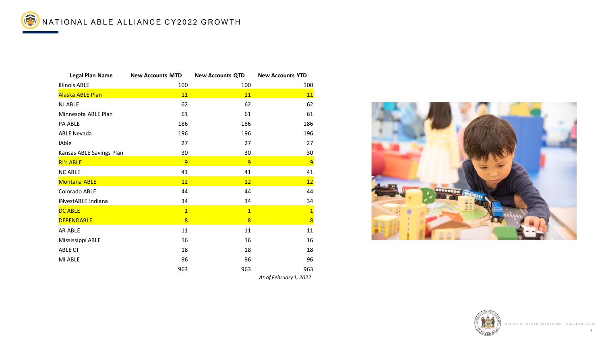

NATIONAL ABLE ALLIANCE CY2022 GROWTH

| <b>Legal Plan Name</b>          | <b>New Accounts MTD</b> | <b>New Accounts QTD</b> | <b>New Accounts YTD</b> |
|---------------------------------|-------------------------|-------------------------|-------------------------|
| <b>Illinois ABLE</b>            | 100                     | 100                     | 100                     |
| Alaska ABLE Plan                | <b>11</b>               | <b>11</b>               | <b>11</b>               |
| <b>NJ ABLE</b>                  | 62                      | 62                      | 62                      |
| Minnesota ABLE Plan             | 61                      | 61                      | 61                      |
| <b>PA ABLE</b>                  | 186                     | 186                     | 186                     |
| <b>ABLE Nevada</b>              | 196                     | 196                     | 196                     |
| <b>IAble</b>                    | 27                      | 27                      | 27                      |
| <b>Kansas ABLE Savings Plan</b> | 30                      | 30                      | 30                      |
| <b>RI's ABLE</b>                | $\overline{9}$          | $\overline{9}$          | $\overline{9}$          |
| <b>NC ABLE</b>                  | 41                      | 41                      | 41                      |
| <b>Montana ABLE</b>             | 12                      | <b>12</b>               | <u>12</u>               |
| <b>Colorado ABLE</b>            | 44                      | 44                      | 44                      |
| <b>INvestABLE Indiana</b>       | 34                      | 34                      | 34                      |
| <b>DC ABLE</b>                  |                         | $\mathbf 1$             | $\overline{\mathbf{1}}$ |
| <b>DEPENDABLE</b>               | 8                       | $\overline{8}$          | $\overline{\mathbf{8}}$ |
| AR ABLE                         | 11                      | 11                      | 11                      |
| Mississippi ABLE                | 16                      | 16                      | 16                      |
| <b>ABLE CT</b>                  | 18                      | 18                      | 18                      |
| <b>MI ABLE</b>                  | 96                      | 96                      | 96                      |
|                                 | 963                     | 963                     | 963                     |
|                                 |                         |                         | As of February 1, 2022  |

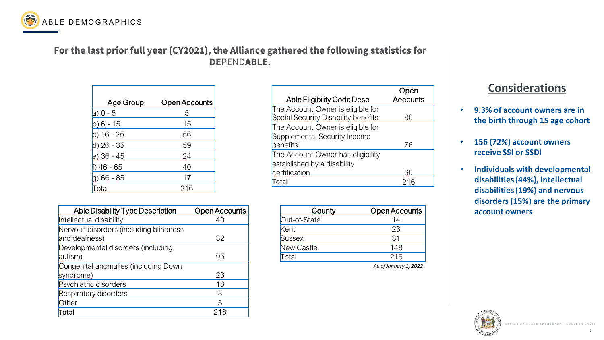# **For the last prior full year (CY2021), the Alliance gathered the following statistics for DE**PEND**ABLE.**

5



*As of January 1, 2022*

# **Considerations**

| <b>Age Group</b>  | <b>Open Accounts</b> |
|-------------------|----------------------|
| $ a)$ 0 - 5       | 5                    |
| $6 - 15$          | 15                   |
| c) 16 - 25        | 56                   |
| d) 26 - 35        | 59                   |
| $(e)$ 36 - 45     | 24                   |
| $46 - 65$         | 40                   |
| $66 - 85$         | 17                   |
| <sup>-</sup> otal | 216                  |

| County            | <b>Open Accounts</b> |
|-------------------|----------------------|
| Out-of-State      | 14                   |
| Kent              | 23                   |
| <b>Sussex</b>     | 31                   |
| <b>New Castle</b> | 148                  |
| Total             | 216                  |
|                   |                      |

| <b>Able Disability Type Description</b>                 | <b>Open Accounts</b> |
|---------------------------------------------------------|----------------------|
| Intellectual disability                                 | 40                   |
| Nervous disorders (including blindness<br>and deafness) | 32                   |
| Developmental disorders (including<br>autism)           | 95                   |
| Congenital anomalies (including Down<br>syndrome)       | 23                   |
| Psychiatric disorders                                   | 18                   |
| <b>Respiratory disorders</b>                            | 3                    |
| Other                                                   | 5                    |
| Total                                                   | 216                  |



- **9.3% of account owners are in the birth through 15 age cohort**
- **156 (72%) account owners receive SSI or SSDI**
- **Individuals with developmental disabilities (44%), intellectual disabilities (19%) and nervous disorders (15%) are the primary account owners**





|                                     | Open<br><b>Accounts</b> |
|-------------------------------------|-------------------------|
| <b>Able Eligibility Code Desc</b>   |                         |
| The Account Owner is eligible for   |                         |
| Social Security Disability benefits | 80                      |
| The Account Owner is eligible for   |                         |
| Supplemental Security Income        |                         |
| benefits                            | 76                      |
| The Account Owner has eligibility   |                         |
| established by a disability         |                         |
| certification                       | 60                      |
| Total                               | 216                     |
|                                     |                         |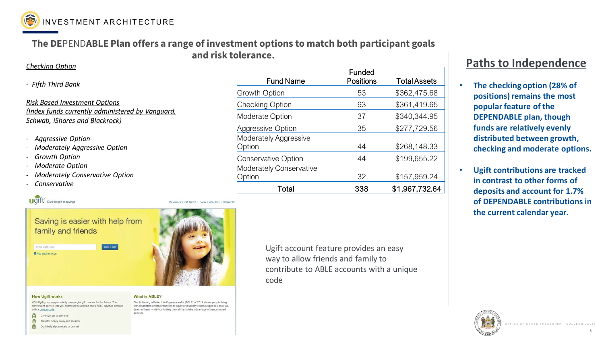# **The DE**PEND**ABLE Plan offers a range of investment options to match both participant goals and risk tolerance.**

### *Checking Option*

*- Fifth Third Bank*

*Risk Based Investment Options (Index funds currently administered by Vanguard, Schwab, iShares and Blackrock)*

- *Aggressive Option*
- *Moderately Aggressive Option*
- *Growth Option*
- *Moderate Option*
- *Moderately Conservative Option*
- *Conservative*



Resources | Gift Givers | FAQs | About Us | Contact Us

# Saving is easier with help from family and friends

GweaGft Enter Ugift Code

Add another code



6



- **The checking option (28% of positions) remains the most popular feature of the DEPENDABLE plan, though funds are relatively evenly distributed between growth, checking and moderate options.**
- **Ugift contributions are tracked in contrast to other forms of deposits and account for 1.7% of DEPENDABLE contributions in the current calendar year.**





# **Paths to Independence**

| <b>Fund Name</b>                       | <b>Funded</b><br><b>Positions</b> | <b>Total Assets</b> |
|----------------------------------------|-----------------------------------|---------------------|
| <b>Growth Option</b>                   | 53                                | \$362,475.68        |
| <b>Checking Option</b>                 | 93                                | \$361,419.65        |
| <b>Moderate Option</b>                 | 37                                | \$340,344.95        |
| <b>Aggressive Option</b>               | 35                                | \$277,729.56        |
| <b>Moderately Aggressive</b><br>Option | 44                                | \$268,148.33        |
| <b>Conservative Option</b>             | 44                                | \$199,655.22        |
| <b>Moderately Conservative</b>         |                                   |                     |
| Option                                 | 32                                | \$157,959.24        |
| Total                                  | 338                               | \$1,967,732.64      |

Ugift account feature provides an easy way to allow friends and family to contribute to ABLE accounts with a unique code

### **How Ugift works**

With Ugift you can give a truly meaningful gift: money for the future. This convenient service lets you contribute to a loved one's ABLE savings account with a unique code.



笏

闣 Transfer money easily and securely

Contribute electronically or by mail

### **What is ABLE?**

The Achieving a Better Life Experience Act (ABLE) of 2014 allows people living with disabilities and their families to save for disability-related expenses on a taxdeferred basis - without limiting their ability to take advantage of needs-based benefits.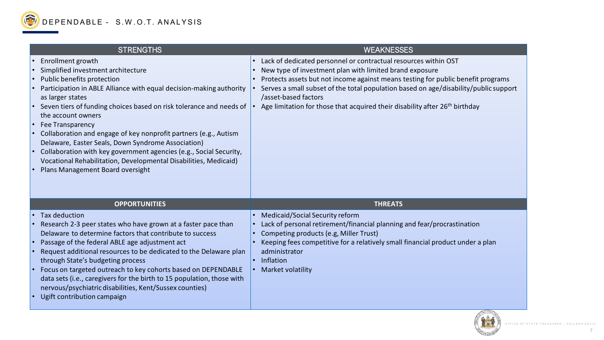



| <b>STRENGTHS</b>                                                                                                                                                                                                                                                                                                                                                                                                                                                                                                                                                                                                   | <b>WEAKNESS</b>                                                                                                                                                                                                                                                                |
|--------------------------------------------------------------------------------------------------------------------------------------------------------------------------------------------------------------------------------------------------------------------------------------------------------------------------------------------------------------------------------------------------------------------------------------------------------------------------------------------------------------------------------------------------------------------------------------------------------------------|--------------------------------------------------------------------------------------------------------------------------------------------------------------------------------------------------------------------------------------------------------------------------------|
| Enrollment growth<br>Simplified investment architecture<br>Public benefits protection<br>Participation in ABLE Alliance with equal decision-making authority<br>as larger states<br>• Seven tiers of funding choices based on risk tolerance and needs of<br>the account owners<br><b>Fee Transparency</b><br>Collaboration and engage of key nonprofit partners (e.g., Autism<br>Delaware, Easter Seals, Down Syndrome Association)<br>Collaboration with key government agencies (e.g., Social Security,<br>Vocational Rehabilitation, Developmental Disabilities, Medicaid)<br>Plans Management Board oversight | Lack of dedicated personnel or contractual res<br>New type of investment plan with limited bran<br>Protects assets but not income against means<br>Serves a small subset of the total population b<br>/asset-based factors<br>Age limitation for those that acquired their dis |
| <b>OPPORTUNITIES</b>                                                                                                                                                                                                                                                                                                                                                                                                                                                                                                                                                                                               | <b>THREATS</b>                                                                                                                                                                                                                                                                 |
| • Tax deduction<br>Research 2-3 peer states who have grown at a faster pace than<br>Delaware to determine factors that contribute to success<br>Passage of the federal ABLE age adjustment act<br>Request additional resources to be dedicated to the Delaware plan<br>through State's budgeting process<br>Focus on targeted outreach to key cohorts based on DEPENDABLE<br>data sets (i.e., caregivers for the birth to 15 population, those with<br>nervous/psychiatric disabilities, Kent/Sussex counties)<br>Ugift contribution campaign                                                                      | Medicaid/Social Security reform<br>Lack of personal retirement/financial planning<br>Competing products (e.g, Miller Trust)<br>Keeping fees competitive for a relatively small<br>administrator<br>Inflation<br><b>Market volatility</b>                                       |

### WEAKNESSES

- dedicated personnel or contractual resources within OST
- pe of investment plan with limited brand exposure
- is assets but not income against means testing for public benefit programs a small subset of the total population based on age/disability/public support
- based factors
- itation for those that acquired their disability after 26<sup>th</sup> birthday

- id/Social Security reform
- personal retirement/financial planning and fear/procrastination
- ting products (e.g, Miller Trust)
- the fees competitive for a relatively small financial product under a plan itrator
- 
- volatility

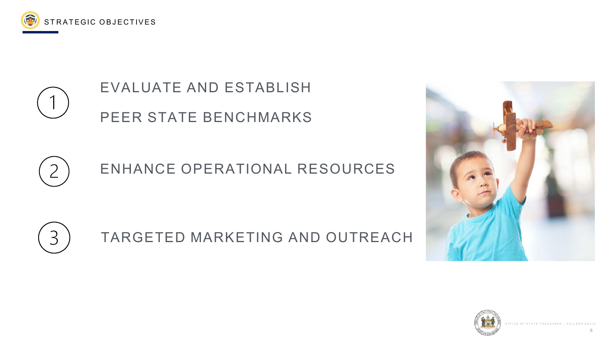





# EVALUATE AND ESTABLISH PEER STATE BENCHMARKS



# ENHANCE OPERATIONAL RESOURCES



# TARGETED MARKETING AND OUTREACH